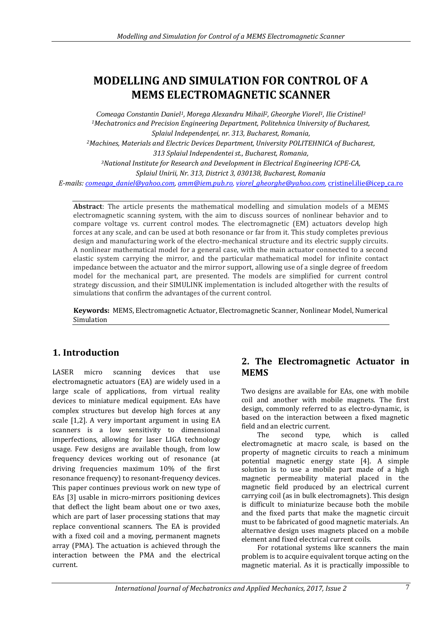# **MODELLING AND SIMULATION FOR CONTROL OF A MEMS ELECTROMAGNETIC SCANNER**

*Comeaga Constantin Daniel1, Morega Alexandru Mihail2, Gheorghe Viorel1, Ilie Cristinel<sup>3</sup> <sup>1</sup>Mechatronics and Precision Engineering Department, Politehnica University of Bucharest, Splaiul Independenţei, nr. 313, Bucharest, Romania, <sup>2</sup>Machines, Materials and Electric Devices Department, University POLITEHNICA of Bucharest, 313 Splaiul Independentei st., Bucharest, Romania, <sup>3</sup>National Institute for Research and Development in Electrical Engineering ICPE-CA, Splaiul Unirii, Nr. 313, District 3, 030138, Bucharest, Romania E-mails[: comeaga\\_daniel@yahoo.com,](mailto:comeaga_daniel@yahoo.com) [amm@iem.pub.ro,](mailto:amm@iem.pub.ro) [viorel\\_gheorghe@yahoo.com,](mailto:viorel_gheorghe@yahoo.com)* [cristinel.ilie@icep\\_ca.ro](mailto:cristinel.ilie@icep_ca.ro)

**Abstract**: The article presents the mathematical modelling and simulation models of a MEMS electromagnetic scanning system, with the aim to discuss sources of nonlinear behavior and to compare voltage vs. current control modes. The electromagnetic (EM) actuators develop high forces at any scale, and can be used at both resonance or far from it. This study completes previous design and manufacturing work of the electro-mechanical structure and its electric supply circuits. A nonlinear mathematical model for a general case, with the main actuator connected to a second elastic system carrying the mirror, and the particular mathematical model for infinite contact impedance between the actuator and the mirror support, allowing use of a single degree of freedom model for the mechanical part, are presented. The models are simplified for current control strategy discussion, and their SIMULINK implementation is included altogether with the results of simulations that confirm the advantages of the current control.

**Keywords:** MEMS, Electromagnetic Actuator, Electromagnetic Scanner, Nonlinear Model, Numerical Simulation

## **1. Introduction**

LASER micro scanning devices that use electromagnetic actuators (EA) are widely used in a large scale of applications, from virtual reality devices to miniature medical equipment. EAs have complex structures but develop high forces at any scale [1,2]. A very important argument in using EA scanners is a low sensitivity to dimensional imperfections, allowing for laser LIGA technology usage. Few designs are available though, from low frequency devices working out of resonance (at driving frequencies maximum 10% of the first resonance frequency) to resonant-frequency devices. This paper continues previous work on new type of EAs [3] usable in micro-mirrors positioning devices that deflect the light beam about one or two axes, which are part of laser processing stations that may replace conventional scanners. The EA is provided with a fixed coil and a moving, permanent magnets array (PMA). The actuation is achieved through the interaction between the PMA and the electrical current.

## **2. The Electromagnetic Actuator in MEMS**

Two designs are available for EAs, one with mobile coil and another with mobile magnets. The first design, commonly referred to as electro-dynamic, is based on the interaction between a fixed magnetic field and an electric current.

The second type, which is called electromagnetic at macro scale, is based on the property of magnetic circuits to reach a minimum potential magnetic energy state [4]. A simple solution is to use a mobile part made of a high magnetic permeability material placed in the magnetic field produced by an electrical current carrying coil (as in bulk electromagnets). This design is difficult to miniaturize because both the mobile and the fixed parts that make the magnetic circuit must to be fabricated of good magnetic materials. An alternative design uses magnets placed on a mobile element and fixed electrical current coils.

For rotational systems like scanners the main problem is to acquire equivalent torque acting on the magnetic material. As it is practically impossible to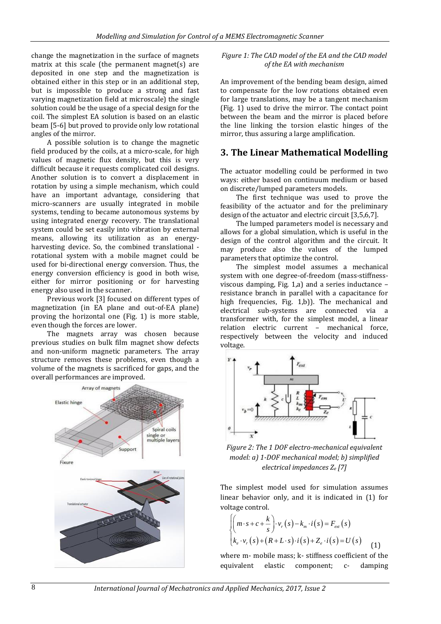change the magnetization in the surface of magnets matrix at this scale (the permanent magnet(s) are deposited in one step and the magnetization is obtained either in this step or in an additional step, but is impossible to produce a strong and fast varying magnetization field at microscale) the single solution could be the usage of a special design for the coil. The simplest EA solution is based on an elastic beam [5-6] but proved to provide only low rotational angles of the mirror.

A possible solution is to change the magnetic field produced by the coils, at a micro-scale, for high values of magnetic flux density, but this is very difficult because it requests complicated coil designs. Another solution is to convert a displacement in rotation by using a simple mechanism, which could have an important advantage, considering that micro-scanners are usually integrated in mobile systems, tending to became autonomous systems by using integrated energy recovery. The translational system could be set easily into vibration by external means, allowing its utilization as an energyharvesting device. So, the combined translational rotational system with a mobile magnet could be used for bi-directional energy conversion. Thus, the energy conversion efficiency is good in both wise, either for mirror positioning or for harvesting energy also used in the scanner.

Previous work [3] focused on different types of magnetization (in EA plane and out-of-EA plane) proving the horizontal one (Fig. 1) is more stable, even though the forces are lower.

The magnets array was chosen because previous studies on bulk film magnet show defects and non-uniform magnetic parameters. The array structure removes these problems, even though a volume of the magnets is sacrificed for gaps, and the overall performances are improved.



*Figure 1: The CAD model of the EA and the CAD model of the EA with mechanism*

An improvement of the bending beam design, aimed to compensate for the low rotations obtained even for large translations, may be a tangent mechanism (Fig. 1) used to drive the mirror. The contact point between the beam and the mirror is placed before the line linking the torsion elastic hinges of the mirror, thus assuring a large amplification.

#### **3. The Linear Mathematical Modelling**

The actuator modelling could be performed in two ways: either based on continuum medium or based on discrete/lumped parameters models.

The first technique was used to prove the feasibility of the actuator and for the preliminary design of the actuator and electric circuit [3,5,6,7].

The lumped parameters model is necessary and allows for a global simulation, which is useful in the design of the control algorithm and the circuit. It may produce also the values of the lumped parameters that optimize the control.

The simplest model assumes a mechanical system with one degree-of-freedom (mass-stiffnessviscous damping, Fig. 1,a) and a series inductance – resistance branch in parallel with a capacitance for high frequencies, Fig. 1,b)). The mechanical and electrical sub-systems are connected via a transformer with, for the simplest model, a linear relation electric current – mechanical force, respectively between the velocity and induced voltage.



*Figure 2: The 1 DOF electro-mechanical equivalent model: a) 1-DOF mechanical model; b) simplified electrical impedances Z<sup>e</sup> [7]*

The simplest model used for simulation assumes linear behavior only, and it is indicated in (1) for voltage control.

$$
\begin{cases}\n\left(m \cdot s + c + \frac{k}{s}\right) \cdot v_r(s) - k_m \cdot i(s) = F_{ext}(s) \\
k_e \cdot v_r(s) + (R + L \cdot s) \cdot i(s) + Z_e \cdot i(s) = U(s)\n\end{cases}
$$
\n(1)

where m- mobile mass; k- stiffness coefficient of the equivalent elastic component; c- damping

8 *International Journal of Mechatronics and Applied Mechanics, 2017, Issue 2*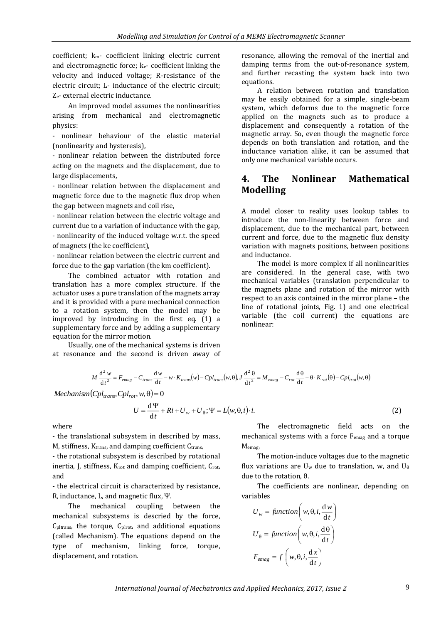coefficient; km- coefficient linking electric current and electromagnetic force; ke- coefficient linking the velocity and induced voltage; R-resistance of the electric circuit; L- inductance of the electric circuit; Ze- external electric inductance.

An improved model assumes the nonlinearities arising from mechanical and electromagnetic physics:

- nonlinear behaviour of the elastic material (nonlinearity and hysteresis),

- nonlinear relation between the distributed force acting on the magnets and the displacement, due to large displacements,

- nonlinear relation between the displacement and magnetic force due to the magnetic flux drop when the gap between magnets and coil rise,

- nonlinear relation between the electric voltage and current due to a variation of inductance with the gap, - nonlinearity of the induced voltage w.r.t. the speed of magnets (the ke coefficient),

- nonlinear relation between the electric current and force due to the gap variation (the km coefficient).

The combined actuator with rotation and translation has a more complex structure. If the actuator uses a pure translation of the magnets array and it is provided with a pure mechanical connection to a rotation system, then the model may be improved by introducing in the first eq. (1) a supplementary force and by adding a supplementary equation for the mirror motion.

Usually, one of the mechanical systems is driven at resonance and the second is driven away of resonance, allowing the removal of the inertial and damping terms from the out-of-resonance system, and further recasting the system back into two equations.

A relation between rotation and translation may be easily obtained for a simple, single-beam system, which deforms due to the magnetic force applied on the magnets such as to produce a displacement and consequently a rotation of the magnetic array. So, even though the magnetic force depends on both translation and rotation, and the inductance variation alike, it can be assumed that only one mechanical variable occurs.

## **4. The Nonlinear Mathematical Modelling**

A model closer to reality uses lookup tables to introduce the non-linearity between force and displacement, due to the mechanical part, between current and force, due to the magnetic flux density variation with magnets positions, between positions and inductance.

The model is more complex if all nonlinearities are considered. In the general case, with two mechanical variables (translation perpendicular to the magnets plane and rotation of the mirror with respect to an axis contained in the mirror plane – the line of rotational joints, Fig. 1) and one electrical variable (the coil current) the equations are nonlinear:

$$
M\frac{d^2 w}{dt^2} = F_{emag} - C_{trans}\frac{dw}{dt} - w \cdot K_{trans}(w) - Cpl_{trans}(w, \theta), J\frac{d^2 \theta}{dt^2} = M_{emag} - C_{rot}\frac{d\theta}{dt} - \theta \cdot K_{rot}(\theta) - Cpl_{rot}(w, \theta)
$$

 $Mechanism(Cpl<sub>trans</sub>, Cpl<sub>rot</sub>, w, \theta) = 0$ 

$$
U = \frac{d\Psi}{dt} + Ri + U_w + U_\theta; \Psi = L(w, \theta, i) \cdot i. \tag{2}
$$

where

- the translational subsystem in described by mass, M, stiffness, K<sub>trans</sub>, and damping coefficient C<sub>trans</sub>,

- the rotational subsystem is described by rotational inertia, J, stiffness, Krot and damping coefficient, Crot, and

- the electrical circuit is characterized by resistance, R, inductance, L, and magnetic flux, Ψ.

The mechanical coupling between the mechanical subsystems is descried by the force,  $C<sub>oltrans</sub>$ , the torque,  $C<sub>olrot</sub>$ , and additional equations (called Mechanism). The equations depend on the type of mechanism, linking force, torque, displacement, and rotation.

The electromagnetic field acts on the mechanical systems with a force Femag and a torque Memag.

The motion-induce voltages due to the magnetic flux variations are U<sub>w</sub> due to translation, w, and U<sub>0</sub> due to the rotation, θ.

The coefficients are nonlinear, depending on variables

$$
U_w = function \left(w, \theta, i, \frac{dw}{dt}\right)
$$

$$
U_{\theta} = function \left(w, \theta, i, \frac{d\theta}{dt}\right)
$$

$$
F_{emag} = f\left(w, \theta, i, \frac{dx}{dt}\right)
$$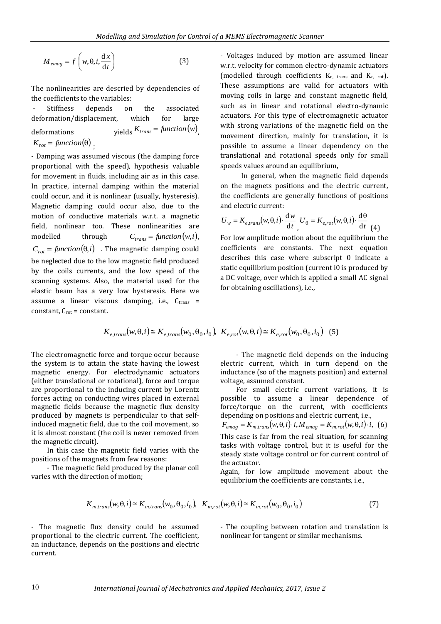$$
M_{emag} = f\left(w, \theta, i, \frac{\mathrm{d}\,x}{\mathrm{d}\,t}\right) \tag{3}
$$

The nonlinearities are descried by dependencies of the coefficients to the variables:

Stiffness depends on the associated deformation/displacement, which for large deformations  $K_{trans} = function(w)$ <sub>,</sub>  $K_{rot} = function(\theta)$ ;

- Damping was assumed viscous (the damping force proportional with the speed), hypothesis valuable for movement in fluids, including air as in this case. In practice, internal damping within the material could occur, and it is nonlinear (usually, hysteresis). Magnetic damping could occur also, due to the motion of conductive materials w.r.t. a magnetic field, nonlinear too. These nonlinearities are modelled through  $C_{trans} = function(w, i)$  $C_{rot} = function(\theta, i)$  . The magnetic damping could be neglected due to the low magnetic field produced by the coils currents, and the low speed of the scanning systems. Also, the material used for the elastic beam has a very low hysteresis. Here we assume a linear viscous damping, i.e.,  $C_{trans}$  = constant,  $C_{\text{rot}}$  = constant.

- Voltages induced by motion are assumed linear w.r.t. velocity for common electro-dynamic actuators (modelled through coefficients  $K_{e}$ ,  $_{trans}$  and  $K_{e}$ ,  $_{rot}$ ). These assumptions are valid for actuators with moving coils in large and constant magnetic field, such as in linear and rotational electro-dynamic actuators. For this type of electromagnetic actuator with strong variations of the magnetic field on the movement direction, mainly for translation, it is possible to assume a linear dependency on the translational and rotational speeds only for small speeds values around an equilibrium,

In general, when the magnetic field depends on the magnets positions and the electric current, the coefficients are generally functions of positions and electric current:

$$
U_w = K_{e, trans}(w, \theta, i) \cdot \frac{dw}{dt} \quad U_\theta = K_{e, rot}(w, \theta, i) \cdot \frac{d\theta}{dt} \quad (4)
$$

For low amplitude motion about the equilibrium the coefficients are constants. The next equation describes this case where subscript 0 indicate a static equilibrium position (current i0 is produced by a DC voltage, over which is applied a small AC signal for obtaining oscillations), i.e.,

$$
K_{e, trans}(w, \theta, i) \cong K_{e, trans}(w_0, \theta_0, i_0), \ K_{e, rot}(w, \theta, i) \cong K_{e, rot}(w_0, \theta_0, i_0) \tag{5}
$$

The electromagnetic force and torque occur because the system is to attain the state having the lowest magnetic energy. For electrodynamic actuators (either translational or rotational), force and torque are proportional to the inducing current by Lorentz forces acting on conducting wires placed in external magnetic fields because the magnetic flux density produced by magnets is perpendicular to that selfinduced magnetic field, due to the coil movement, so it is almost constant (the coil is never removed from the magnetic circuit).

In this case the magnetic field varies with the positions of the magnets from few reasons:

- The magnetic field produced by the planar coil varies with the direction of motion;

- The magnetic field depends on the inducing electric current, which in turn depend on the inductance (so of the magnets position) and external voltage, assumed constant.

For small electric current variations, it is possible to assume a linear dependence of force/torque on the current, with coefficients depending on positions and electric current, i.e.,  $F_{emag} = K_{m, trans}(w, \theta, i) \cdot i, M_{emag} = K_{m, rot}(w, \theta, i) \cdot i, (6)$ This case is far from the real situation, for scanning tasks with voltage control, but it is useful for the steady state voltage control or for current control of the actuator.

Again, for low amplitude movement about the equilibrium the coefficients are constants, i.e.,

$$
K_{m, trans}(w, \theta, i) \cong K_{m, trans}(w_0, \theta_0, i_0), \quad K_{m, rot}(w, \theta, i) \cong K_{m, rot}(w_0, \theta_0, i_0)
$$
\n
$$
(7)
$$

- The magnetic flux density could be assumed proportional to the electric current. The coefficient, an inductance, depends on the positions and electric current.

- The coupling between rotation and translation is nonlinear for tangent or similar mechanisms.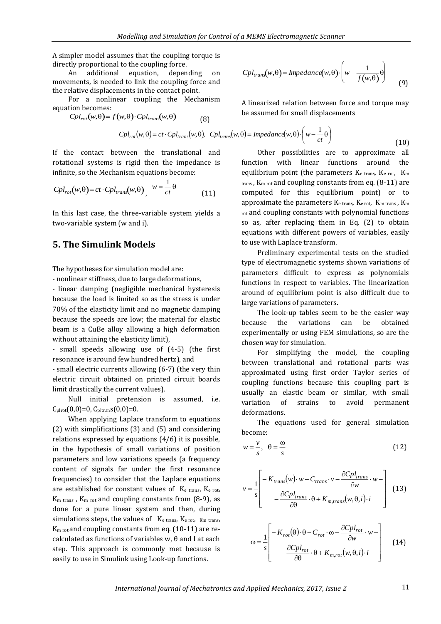A simpler model assumes that the coupling torque is directly proportional to the coupling force.

An additional equation, depending on movements, is needed to link the coupling force and the relative displacements in the contact point.

For a nonlinear coupling the Mechanism equation becomes:

$$
Cpl_{rot}(w,\theta) = f(w,\theta) \cdot Cpl_{trans}(w,\theta) \tag{8}
$$

$$
Cpl_{rot}(w,\theta) = ct \cdot Cpl_{trans}(w,\theta), \quad Cpl_{trans}(w,\theta) = Impedanc\left(w,\theta\right) \cdot \left(w - \frac{1}{st}\theta\right)
$$

If the contact between the translational and rotational systems is rigid then the impedance is infinite, so the Mechanism equations become:

$$
Cpl_{rot}(w,\theta) = ct \cdot Cpl_{trans}(w,\theta) \, , \, w = \frac{1}{ct}\theta \tag{11}
$$

 two-variable system (w and i). In this last case, the three-variable system yields a

#### **5. The Simulink Models**

The hypotheses for simulation model are:

- nonlinear stiffness, due to large deformations,

- linear damping (negligible mechanical hysteresis because the load is limited so as the stress is under 70% of the elasticity limit and no magnetic damping because the speeds are low; the material for elastic beam is a CuBe alloy allowing a high deformation without attaining the elasticity limit),

- small speeds allowing use of (4-5) (the first resonance is around few hundred hertz), and

- small electric currents allowing (6-7) (the very thin electric circuit obtained on printed circuit boards limit drastically the current values).

Null initial pretension is assumed, i.e.  $C_{\text{plrot}}(0,0)=0$ ,  $C_{\text{pltran}}(0,0)=0$ .

When applying Laplace transform to equations (2) with simplifications (3) and (5) and considering relations expressed by equations (4/6) it is possible, in the hypothesis of small variations of position parameters and low variations speeds (a frequency content of signals far under the first resonance frequencies) to consider that the Laplace equations are established for constant values of Ke trans, Ke rot,  $K<sub>m</sub>$  trans,  $K<sub>m</sub>$  rot and coupling constants from  $(8-9)$ , as done for a pure linear system and then, during simulations steps, the values of K<sub>e trans</sub>, K<sub>e rot</sub>, K<sub>m trans</sub>, K<sub>m rot</sub> and coupling constants from eq. (10-11) are recalculated as functions of variables w, θ and I at each step. This approach is commonly met because is easily to use in Simulink using Look-up functions.

$$
Cpl_{trans}(w,\theta) = Impedance(w,\theta) \cdot \left(w - \frac{1}{f(w,\theta)}\theta\right)
$$
(9)

A linearized relation between force and torque may be assumed for small displacements

$$
C_{\text{tot}}(w,\theta) = ct \cdot Cpl_{trans}(w,\theta), \quad Cpl_{trans}(w,\theta) = Impedancd(w,\theta) \cdot \left(w - \frac{1}{ct}\theta\right)
$$
\n(10)

Other possibilities are to approximate all function with linear functions around the equilibrium point (the parameters  $K_{e \text{ trans}}$ ,  $K_{e \text{ rot}}$ ,  $K_{m}$ trans , Km rot and coupling constants from eq. (8-11) are computed for this equilibrium point) or to approximate the parameters  $K_{e \text{ trans}}$ ,  $K_{e \text{ rot}}$ ,  $K_{m \text{ trans}}$ ,  $K_{m}$ rot and coupling constants with polynomial functions so as, after replacing them in Eq. (2) to obtain equations with different powers of variables, easily to use with Laplace transform.

Preliminary experimental tests on the studied type of electromagnetic systems shown variations of parameters difficult to express as polynomials functions in respect to variables. The linearization around of equilibrium point is also difficult due to large variations of parameters.

The look-up tables seem to be the easier way because the variations can be obtained experimentally or using FEM simulations, so are the chosen way for simulation.

For simplifying the model, the coupling between translational and rotational parts was approximated using first order Taylor series of coupling functions because this coupling part is usually an elastic beam or similar, with small variation of strains to avoid permanent deformations.

The equations used for general simulation become:

$$
w = \frac{v}{s}, \quad \theta = \frac{\omega}{s}
$$
 (12)

$$
v = \frac{1}{s} \begin{bmatrix} -K_{trans}(w) \cdot w - C_{trans} \cdot v - \frac{\partial Cpl_{trans}}{\partial w} \cdot w - \\ -\frac{\partial Cpl_{trans}}{\partial \theta} \cdot \theta + K_{m, trans}(w, \theta, i) \cdot i \end{bmatrix}
$$
(13)

$$
\omega = \frac{1}{s} \left[ -K_{rot}(\theta) \cdot \theta - C_{rot} \cdot \omega - \frac{\partial Cpl_{rot}}{\partial w} \cdot w - \frac{\partial Cpl_{rot}}{\partial w} \cdot \theta + K_{m,rot}(w, \theta, i) \cdot i \right]
$$
(14)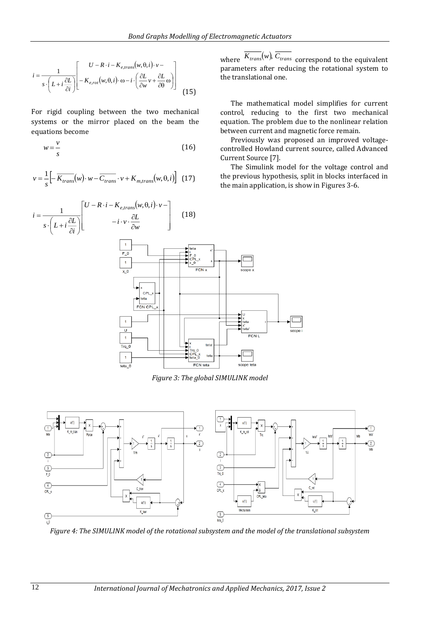the translational one.

Current Source [7].

where  $\overline{K_{trans}}(w)$ ,  $\overline{C_{trans}}$  correspond to the equivalent parameters after reducing the rotational system to

The mathematical model simplifies for current control, reducing to the first two mechanical equation. The problem due to the nonlinear relation

Previously was proposed an improved voltagecontrolled Howland current source, called Advanced

The Simulink model for the voltage control and the previous hypothesis, split in blocks interfaced in

between current and magnetic force remain.

the main application, is show in Figures 3-6.

$$
i = \frac{1}{s \cdot \left(L + i\frac{\partial L}{\partial i}\right)} \left[-\frac{U - R \cdot i - K_{e, trans}(w, \theta, i) \cdot v - k \cdot \left(\frac{\partial L}{\partial w}v + \frac{\partial L}{\partial \theta}\omega\right)\right] \tag{15}
$$

For rigid coupling between the two mechanical systems or the mirror placed on the beam the equations become

$$
w = \frac{v}{s} \tag{16}
$$

$$
v = \frac{1}{s} \left[ -\overline{K_{trans}}(w) \cdot w - \overline{C_{trans}} \cdot v + K_{m, trans}(w, \theta, i) \right]
$$
 (17)



*Figure 3: The global SIMULINK model*



*Figure 4: The SIMULINK model of the rotational subsystem and the model of the translational subsystem*

*i*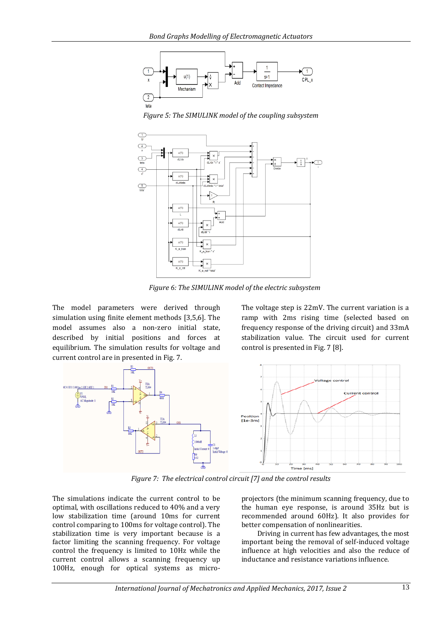





*Figure 6: The SIMULINK model of the electric subsystem*

The model parameters were derived through simulation using finite element methods [3,5,6]. The model assumes also a non-zero initial state, described by initial positions and forces at equilibrium. The simulation results for voltage and current control are in presented in Fig. 7.

The voltage step is 22mV. The current variation is a ramp with 2ms rising time (selected based on frequency response of the driving circuit) and 33mA stabilization value. The circuit used for current control is presented in Fig. 7 [8].



*Figure 7: The electrical control circuit [7] and the control results*

The simulations indicate the current control to be optimal, with oscillations reduced to 40% and a very low stabilization time (around 10ms for current control comparing to 100ms for voltage control). The stabilization time is very important because is a factor limiting the scanning frequency. For voltage control the frequency is limited to 10Hz while the current control allows a scanning frequency up 100Hz, enough for optical systems as microprojectors (the minimum scanning frequency, due to the human eye response, is around 35Hz but is recommended around 60Hz). It also provides for better compensation of nonlinearities.

Driving in current has few advantages, the most important being the removal of self-induced voltage influence at high velocities and also the reduce of inductance and resistance variations influence.